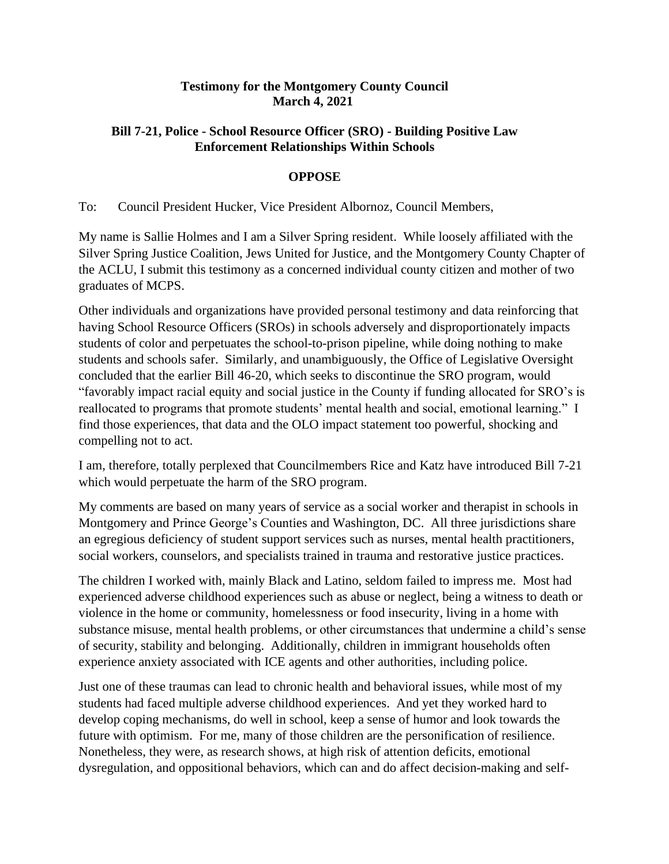## **Testimony for the Montgomery County Council March 4, 2021**

## **Bill 7-21, Police - School Resource Officer (SRO) - Building Positive Law Enforcement Relationships Within Schools**

## **OPPOSE**

To: Council President Hucker, Vice President Albornoz, Council Members,

My name is Sallie Holmes and I am a Silver Spring resident. While loosely affiliated with the Silver Spring Justice Coalition, Jews United for Justice, and the Montgomery County Chapter of the ACLU, I submit this testimony as a concerned individual county citizen and mother of two graduates of MCPS.

Other individuals and organizations have provided personal testimony and data reinforcing that having School Resource Officers (SROs) in schools adversely and disproportionately impacts students of color and perpetuates the school-to-prison pipeline, while doing nothing to make students and schools safer. Similarly, and unambiguously, the Office of Legislative Oversight concluded that the earlier Bill 46-20, which seeks to discontinue the SRO program, would "favorably impact racial equity and social justice in the County if funding allocated for SRO's is reallocated to programs that promote students' mental health and social, emotional learning." I find those experiences, that data and the OLO impact statement too powerful, shocking and compelling not to act.

I am, therefore, totally perplexed that Councilmembers Rice and Katz have introduced Bill 7-21 which would perpetuate the harm of the SRO program.

My comments are based on many years of service as a social worker and therapist in schools in Montgomery and Prince George's Counties and Washington, DC. All three jurisdictions share an egregious deficiency of student support services such as nurses, mental health practitioners, social workers, counselors, and specialists trained in trauma and restorative justice practices.

The children I worked with, mainly Black and Latino, seldom failed to impress me. Most had experienced adverse childhood experiences such as abuse or neglect, being a witness to death or violence in the home or community, homelessness or food insecurity, living in a home with substance misuse, mental health problems, or other circumstances that undermine a child's sense of security, stability and belonging. Additionally, children in immigrant households often experience anxiety associated with ICE agents and other authorities, including police.

Just one of these traumas can lead to chronic health and behavioral issues, while most of my students had faced multiple adverse childhood experiences. And yet they worked hard to develop coping mechanisms, do well in school, keep a sense of humor and look towards the future with optimism. For me, many of those children are the personification of resilience. Nonetheless, they were, as research shows, at high risk of attention deficits, emotional dysregulation, and oppositional behaviors, which can and do affect decision-making and self